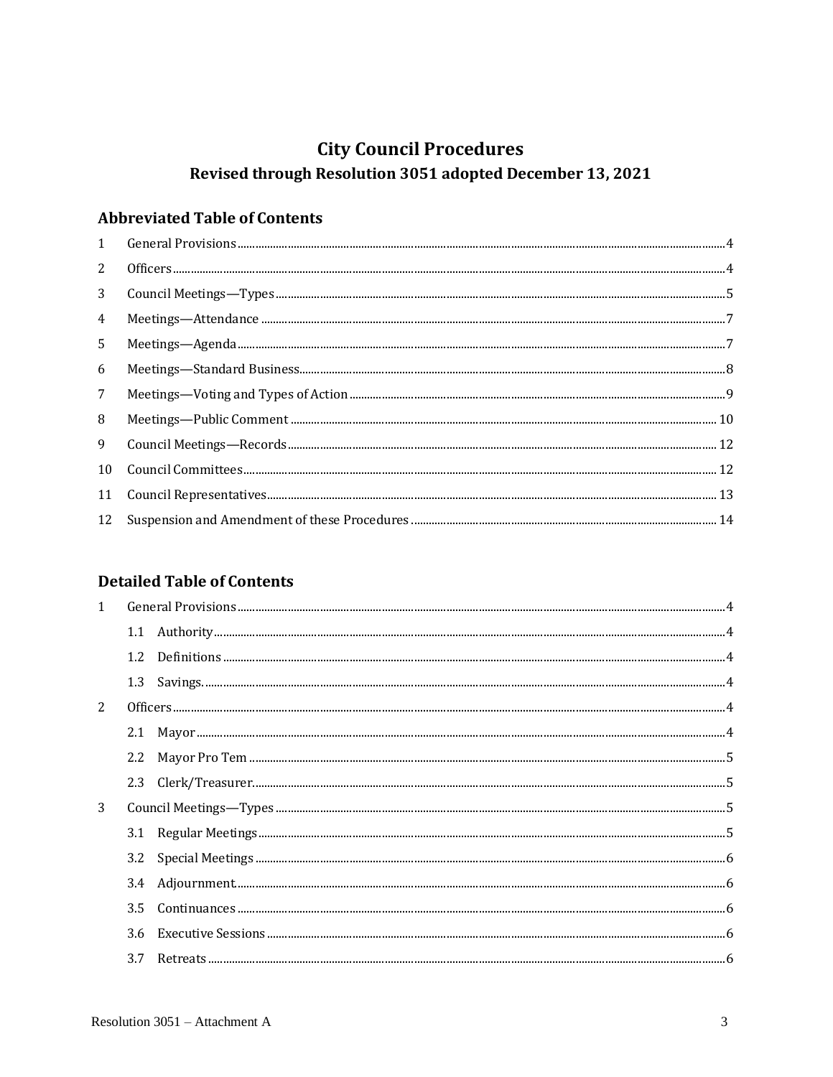# **City Council Procedures**

# Revised through Resolution 3051 adopted December 13, 2021

# **Abbreviated Table of Contents**

| $\mathbf{1}$    |  |
|-----------------|--|
| 2               |  |
| 3               |  |
| $\overline{4}$  |  |
| $5^{\circ}$     |  |
| 6               |  |
| $7\overline{ }$ |  |
| 8               |  |
| 9               |  |
| 10              |  |
| 11              |  |
| 12              |  |

# **Detailed Table of Contents**

| 1 |     |  |  |  |
|---|-----|--|--|--|
|   |     |  |  |  |
|   |     |  |  |  |
|   | 1.3 |  |  |  |
| 2 |     |  |  |  |
|   |     |  |  |  |
|   |     |  |  |  |
|   |     |  |  |  |
| 3 |     |  |  |  |
|   |     |  |  |  |
|   | 3.2 |  |  |  |
|   |     |  |  |  |
|   | 3.5 |  |  |  |
|   | 3.6 |  |  |  |
|   |     |  |  |  |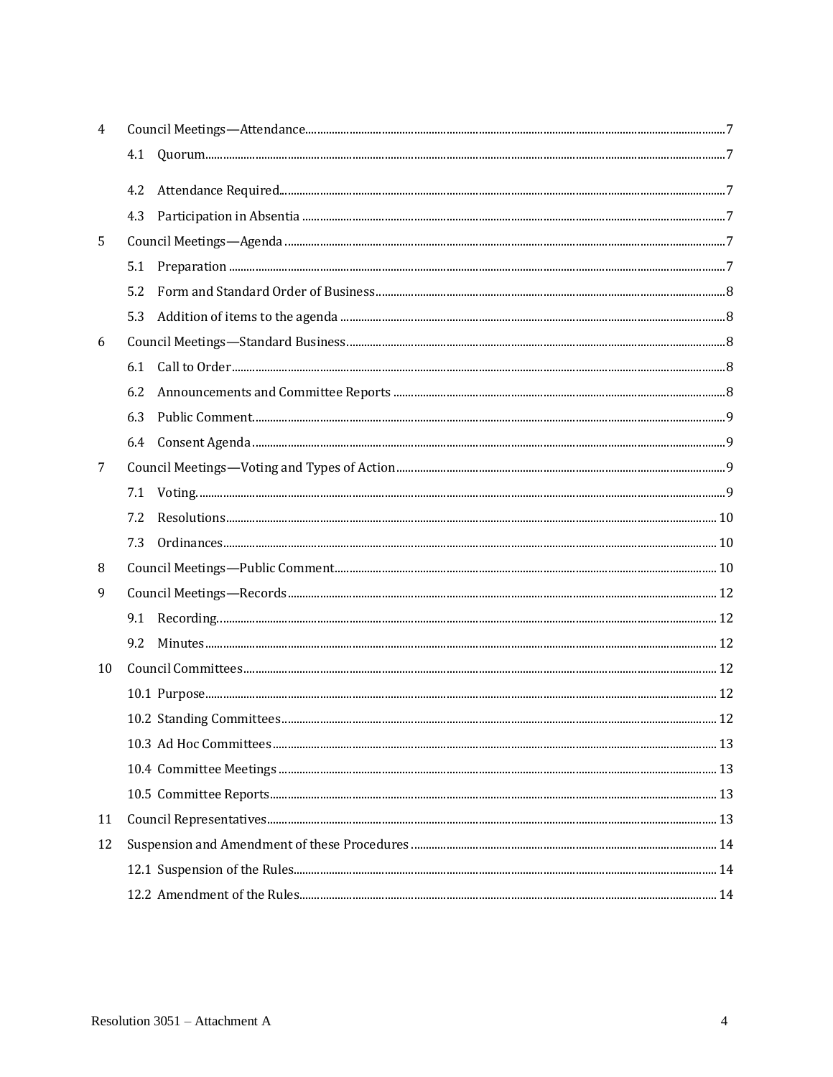| 4  |     |  |  |  |
|----|-----|--|--|--|
|    | 4.1 |  |  |  |
|    | 4.2 |  |  |  |
|    | 4.3 |  |  |  |
| 5  |     |  |  |  |
|    | 5.1 |  |  |  |
|    | 5.2 |  |  |  |
|    | 5.3 |  |  |  |
| 6  |     |  |  |  |
|    | 6.1 |  |  |  |
|    | 6.2 |  |  |  |
|    | 6.3 |  |  |  |
|    | 6.4 |  |  |  |
| 7  |     |  |  |  |
|    | 7.1 |  |  |  |
|    | 7.2 |  |  |  |
|    | 7.3 |  |  |  |
| 8  |     |  |  |  |
| 9  |     |  |  |  |
|    | 9.1 |  |  |  |
|    | 9.2 |  |  |  |
| 10 |     |  |  |  |
|    |     |  |  |  |
|    |     |  |  |  |
|    |     |  |  |  |
|    |     |  |  |  |
|    |     |  |  |  |
| 11 |     |  |  |  |
| 12 |     |  |  |  |
|    |     |  |  |  |
|    |     |  |  |  |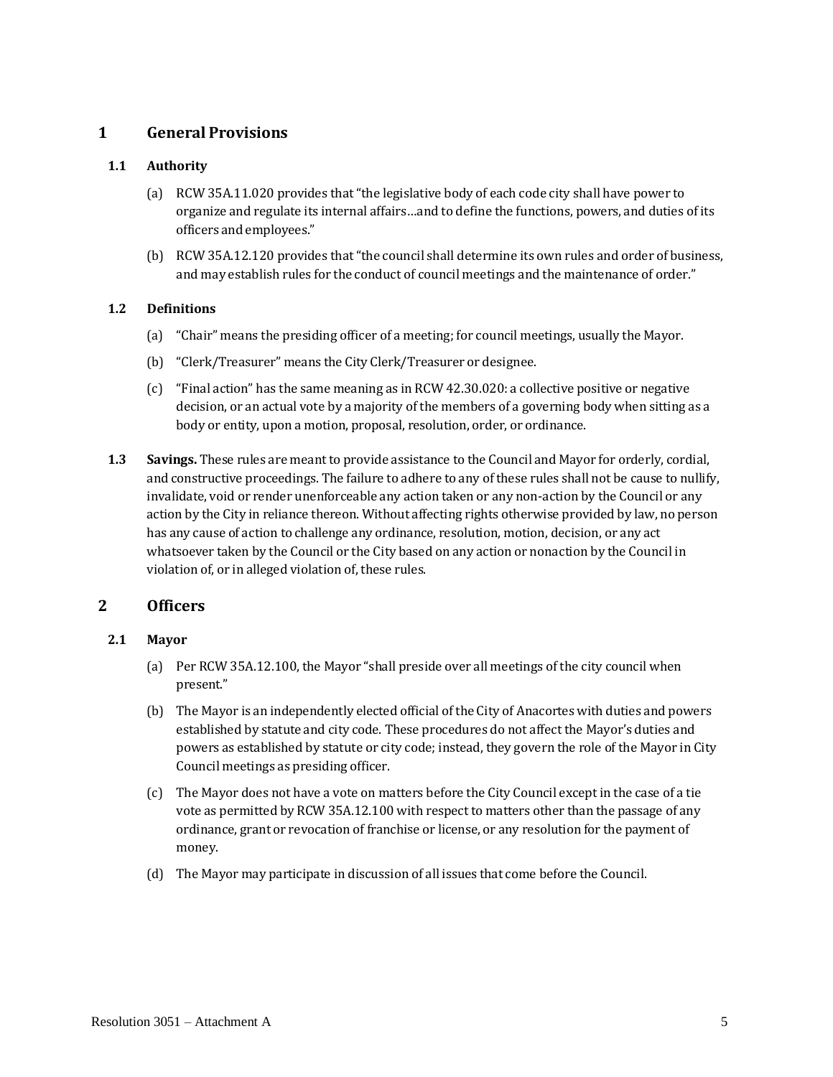# <span id="page-2-0"></span>**1 General Provisions**

## <span id="page-2-2"></span>**1.1 Authority**

- (a) RCW 35A.11.020 provides that"the legislative body of each code city shall have power to organize and regulate its internal affairs…and to define the functions, powers, and duties of its officers and employees."
- (b) RCW 35A.12.120 provides that"the council shall determine its own rules and order of business, and may establish rules for the conduct of council meetings and the maintenance of order."

#### <span id="page-2-3"></span>**1.2 Definitions**

- (a) "Chair" means the presiding officer of a meeting; for council meetings, usually the Mayor.
- (b) "Clerk/Treasurer" means the City Clerk/Treasurer or designee.
- (c) "Final action" has the same meaning as in RCW 42.30.020: a collective positive or negative decision, or an actual vote by a majority of the members of a governing body when sitting as a body or entity, upon a motion, proposal, resolution, order, or ordinance.
- <span id="page-2-4"></span>**1.3 Savings.** These rules are meantto provide assistance to the Council and Mayor for orderly, cordial, and constructive proceedings. The failure to adhere to any of these rules shall not be cause to nullify, invalidate, void or render unenforceable any action taken or any non-action by the Council or any action by the City in reliance thereon. Without affecting rights otherwise provided by law, no person has any cause of action to challenge any ordinance, resolution, motion, decision, or any act whatsoever taken by the Council or the City based on any action or nonaction by the Council in violation of, or in alleged violation of, these rules.

# <span id="page-2-1"></span>**2 Officers**

## <span id="page-2-5"></span>**2.1 Mayor**

- (a) Per RCW 35A.12.100, the Mayor "shall preside over all meetings of the city council when present."
- (b) The Mayor is an independently elected official of the City of Anacortes with duties and powers established by statute and city code. These procedures do not affect the Mayor's duties and powers as established by statute or city code; instead, they govern the role of the Mayor in City Council meetings as presiding officer.
- (c) The Mayor does not have a vote on matters before the City Council except in the case of a tie vote as permitted by RCW 35A.12.100 with respect to matters other than the passage of any ordinance, grant or revocation of franchise or license, or any resolution for the payment of money.
- (d) The Mayor may participate in discussion of all issues that come before the Council.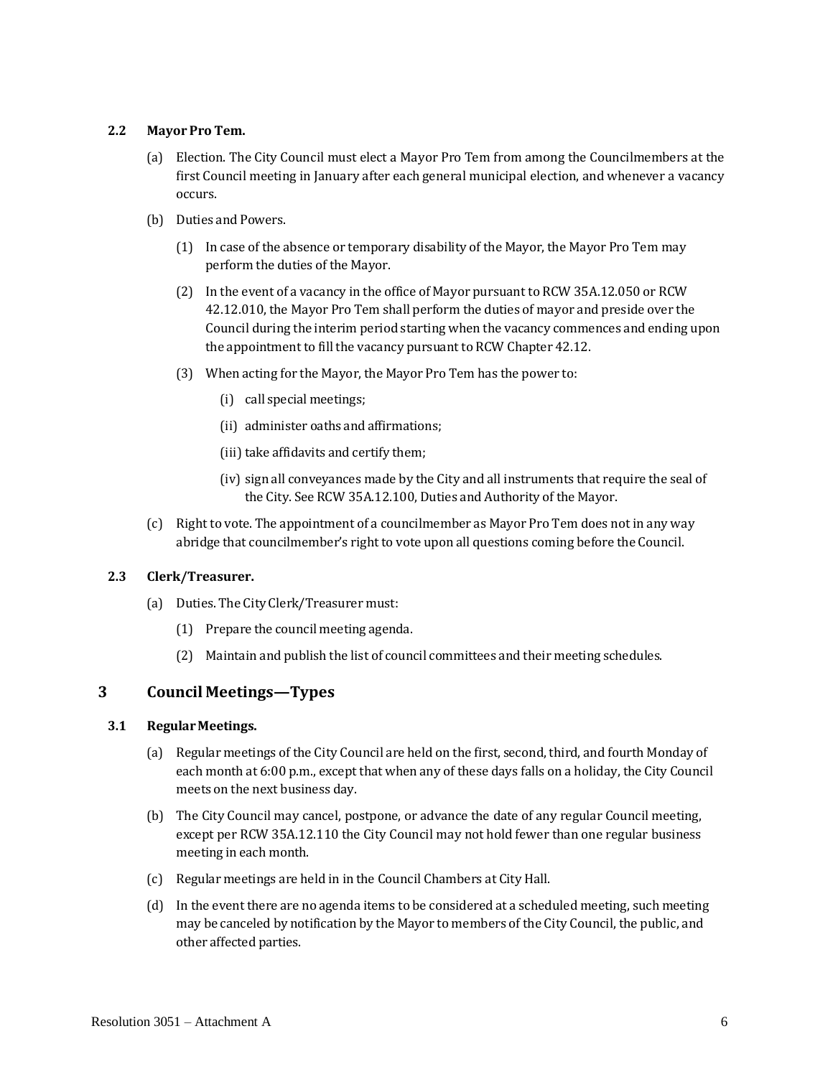### <span id="page-3-1"></span>**2.2 Mayor Pro Tem.**

- (a) Election. The City Council must elect a Mayor Pro Tem from among the Councilmembers at the first Council meeting in January after each general municipal election, and whenever a vacancy occurs.
- (b) Duties and Powers.
	- (1) In case of the absence or temporary disability of the Mayor, the Mayor Pro Tem may perform the duties of the Mayor.
	- (2) In the event of a vacancy in the office of Mayor pursuant to RCW 35A.12.050 or RCW 42.12.010, the Mayor Pro Tem shall perform the duties of mayor and preside over the Council during the interim period starting when the vacancy commences and ending upon the appointment to fill the vacancy pursuant to RCW Chapter 42.12.
	- (3) When acting for the Mayor, the Mayor Pro Tem has the power to:
		- (i) call special meetings;
		- (ii) administer oaths andaffirmations;
		- (iii) take affidavits and certify them;
		- (iv) sign all conveyances made by the City and all instruments that require the seal of the City. See RCW 35A.12.100, Duties and Authority of the Mayor.
- (c) Right to vote. The appointment of a councilmember as Mayor Pro Tem does not in any way abridge that councilmember's right to vote upon all questions coming before the Council.

## <span id="page-3-2"></span>**2.3 Clerk/Treasurer.**

- (a) Duties. The City Clerk/Treasurer must:
	- (1) Prepare the council meeting agenda.
	- (2) Maintain and publish the list of council committees and their meeting schedules.

# <span id="page-3-0"></span>**3 Council Meetings—Types**

#### <span id="page-3-3"></span>**3.1 RegularMeetings.**

- (a) Regular meetings of the City Council are held on the first, second, third, and fourth Monday of each month at 6:00 p.m., except that when any of these days falls on a holiday, the City Council meets on the next business day.
- (b) The City Council may cancel, postpone, or advance the date of any regular Council meeting, except per RCW 35A.12.110 the City Council may not hold fewer than one regular business meeting in each month.
- (c) Regular meetings are held in in the Council Chambers at City Hall.
- (d) In the event there are no agenda items to be considered at a scheduled meeting, such meeting may be canceled by notification by the Mayor to members of the City Council, the public, and other affected parties.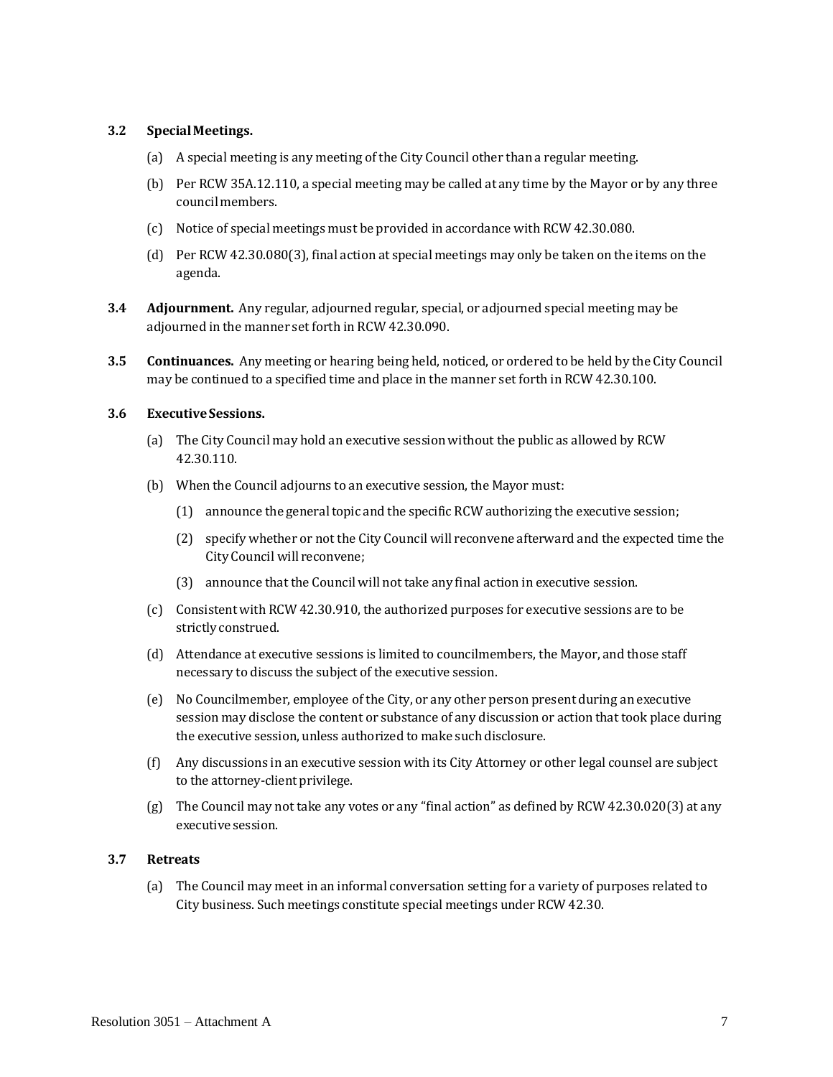#### <span id="page-4-0"></span>**3.2 SpecialMeetings.**

- (a) A special meeting is any meeting of the City Council other than a regular meeting.
- (b) Per RCW 35A.12.110, a special meeting may be called at any time by the Mayor or by any three councilmembers.
- (c) Notice of special meetings must be provided in accordance with RCW 42.30.080.
- (d) Per RCW 42.30.080(3), final action at special meetings may only be taken on the items on the agenda.
- <span id="page-4-1"></span>**3.4 Adjournment.** Any regular, adjourned regular, special, or adjourned special meeting may be adjourned in the manner set forth in RCW 42.30.090.
- <span id="page-4-2"></span>**3.5 Continuances.** Any meeting or hearing being held, noticed, or ordered to be held by the City Council may be continued to a specified time and place in the manner set forth in RCW 42.30.100.

#### <span id="page-4-3"></span>**3.6 ExecutiveSessions.**

- (a) The City Council may hold an executive session without the public as allowed by RCW 42.30.110.
- (b) When the Council adjourns to an executive session, the Mayor must:
	- $(1)$  announce the general topic and the specific RCW authorizing the executive session;
	- (2) specify whether or not the City Council will reconvene afterward and the expected time the City Council will reconvene;
	- (3) announce that the Council will not take any final action in executive session.
- (c) Consistent with RCW 42.30.910, the authorized purposes for executive sessions are to be strictlyconstrued.
- (d) Attendance at executive sessions is limited to councilmembers, the Mayor, and those staff necessary to discuss the subject of the executive session.
- (e) No Councilmember, employee of the City, or any other person present during an executive session may disclose the content or substance of any discussion or action that took place during the executive session, unless authorized to make such disclosure.
- (f) Any discussions in an executive session with its City Attorney or other legal counsel are subject to the attorney-client privilege.
- (g) The Council may not take any votes or any "final action" as defined by RCW 42.30.020(3) at any executive session.

### <span id="page-4-4"></span>**3.7 Retreats**

(a) The Council may meet in an informal conversation setting for a variety of purposes related to City business. Such meetings constitute special meetings under RCW 42.30.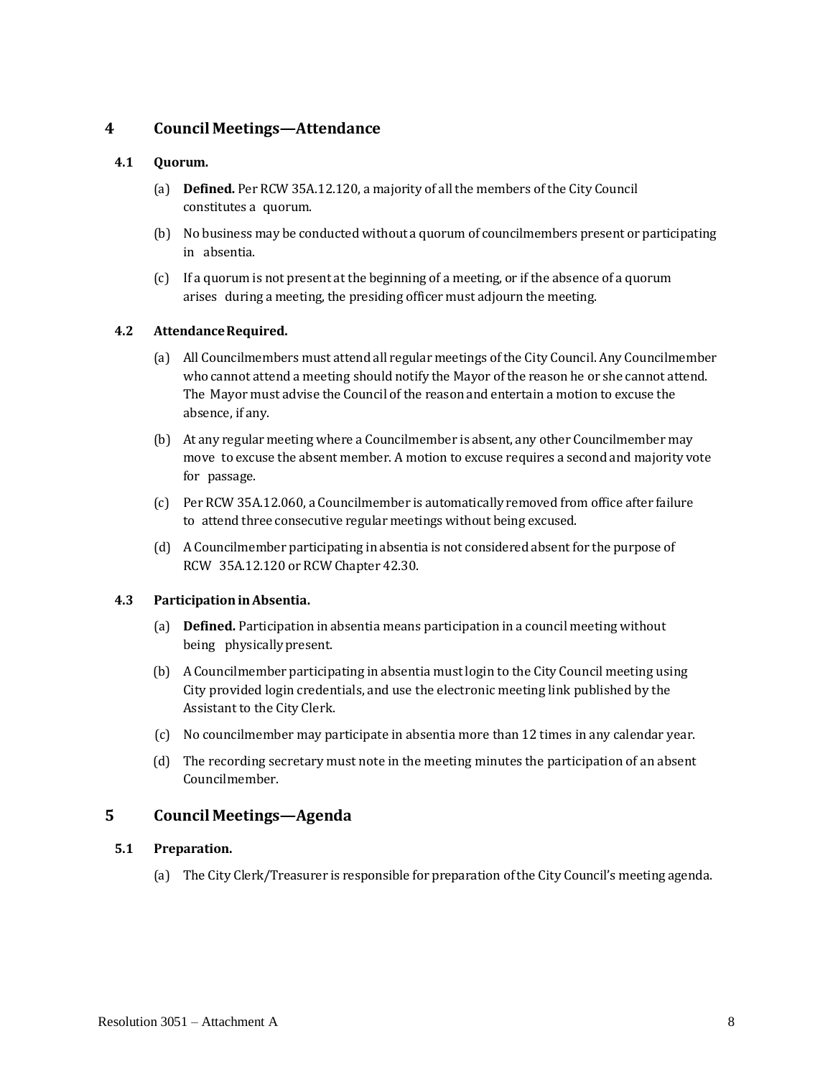## <span id="page-5-0"></span>**4 Council Meetings—Attendance**

#### <span id="page-5-2"></span>**4.1 Quorum.**

- (a) **Defined.** Per RCW 35A.12.120, a majority of all the members of the City Council constitutes a quorum.
- (b) No business may be conducted without a quorum of councilmembers present or participating in absentia.
- (c) If a quorum is not present at the beginning of a meeting, or if the absence of a quorum arises during a meeting, the presiding officer must adjourn the meeting.

#### <span id="page-5-3"></span>**4.2 AttendanceRequired.**

- (a) All Councilmembers must attend all regular meetings of the City Council. Any Councilmember who cannot attend a meeting should notify the Mayor of the reason he or she cannot attend. The Mayor must advise the Council of the reason and entertain a motion to excuse the absence, if any.
- (b) At any regular meeting where a Councilmember is absent, any other Councilmember may move to excuse the absent member. A motion to excuse requires a second and majority vote for passage.
- (c) Per RCW 35A.12.060, a Councilmember is automatically removed from office after failure to attend three consecutive regular meetings without being excused.
- (d) A Councilmember participating in absentia is not considered absent for the purpose of RCW 35A.12.120 or RCW Chapter 42.30.

#### <span id="page-5-4"></span>**4.3 ParticipationinAbsentia.**

- (a) **Defined.** Participation in absentia means participation in a council meeting without being physically present.
- (b) A Councilmember participating in absentia must login to the City Council meeting using City provided login credentials, and use the electronic meeting link published by the Assistant to the City Clerk.
- (c) No councilmember may participate in absentia more than 12 times in any calendar year.
- (d) The recording secretary must note in the meeting minutes the participation of an absent Councilmember.

## <span id="page-5-1"></span>**5 Council Meetings—Agenda**

## <span id="page-5-5"></span>**5.1 Preparation.**

(a) The City Clerk/Treasurer is responsible for preparation ofthe City Council's meeting agenda.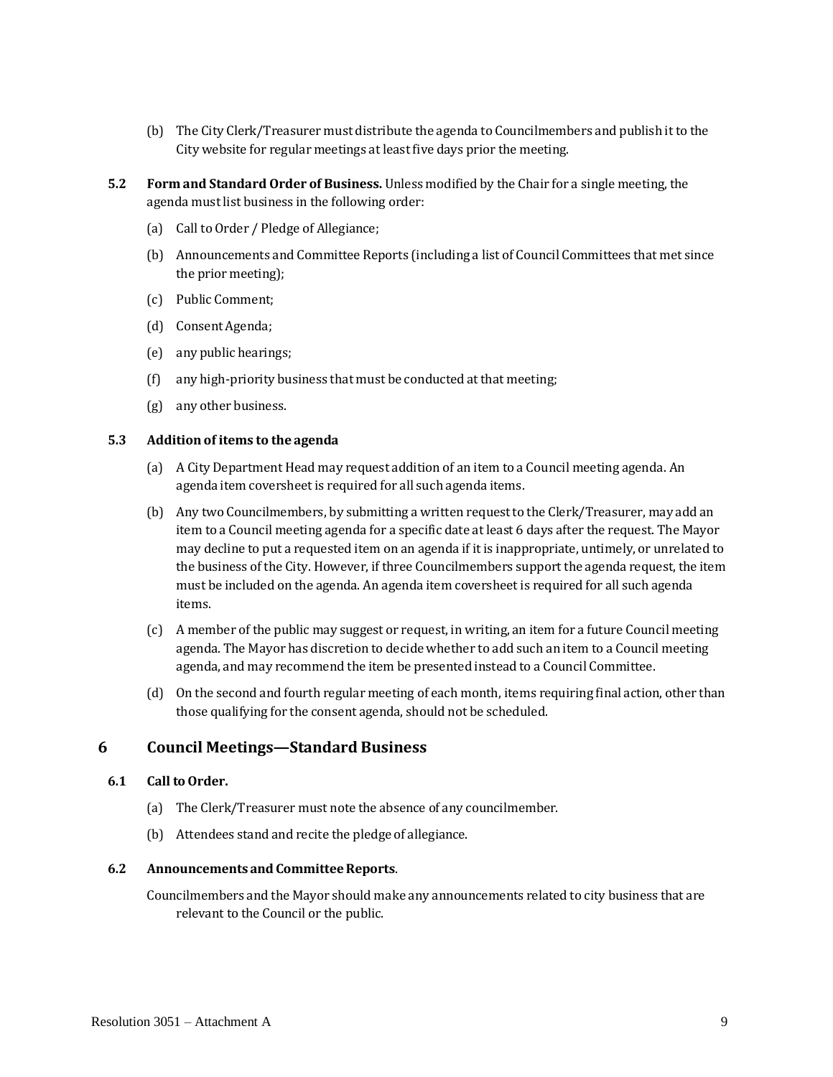- (b) The City Clerk/Treasurer must distribute the agenda to Councilmembers and publish it to the City website for regular meetings at least five days prior the meeting.
- <span id="page-6-1"></span>**5.2 Form and Standard Order of Business.** Unless modified by the Chair for a single meeting, the agenda must list business in the following order:
	- (a) Call to Order / Pledge of Allegiance;
	- (b) Announcements and Committee Reports (including a list of Council Committees that met since the prior meeting);
	- (c) Public Comment;
	- (d) ConsentAgenda;
	- (e) any public hearings;
	- (f) any high-priority business that must be conducted atthat meeting;
	- (g) any other business.

#### <span id="page-6-2"></span>**5.3 Addition of items to the agenda**

- (a) A CityDepartment Head may request addition of an item to a Council meeting agenda. An agenda item coversheet is required for all such agenda items.
- (b) Any twoCouncilmembers, by submitting a written requestto the Clerk/Treasurer, may add an item to a Council meeting agenda for a specific date at least 6 days after the request. The Mayor may decline to put a requested item on an agenda if it is inappropriate, untimely, or unrelated to the business of the City. However, if three Councilmembers support the agenda request, the item must be included on the agenda. An agenda item coversheet is required for all such agenda items.
- (c) A member of the public may suggest or request, in writing, an item for a future Council meeting agenda. The Mayor has discretion to decide whether to add such an item to a Council meeting agenda, and may recommend the item be presented instead to a Council Committee.
- (d) On the second and fourth regular meeting of each month, items requiring final action, other than those qualifying for the consent agenda, should not be scheduled.

## <span id="page-6-0"></span>**6 Council Meetings—Standard Business**

#### <span id="page-6-3"></span>**6.1 Call toOrder.**

- (a) The Clerk/Treasurer must note the absence of any councilmember.
- (b) Attendees stand and recite the pledge of allegiance.

#### <span id="page-6-4"></span>**6.2 Announcements and CommitteeReports**.

Councilmembers and the Mayor should make any announcements related to city business that are relevant to the Council or the public.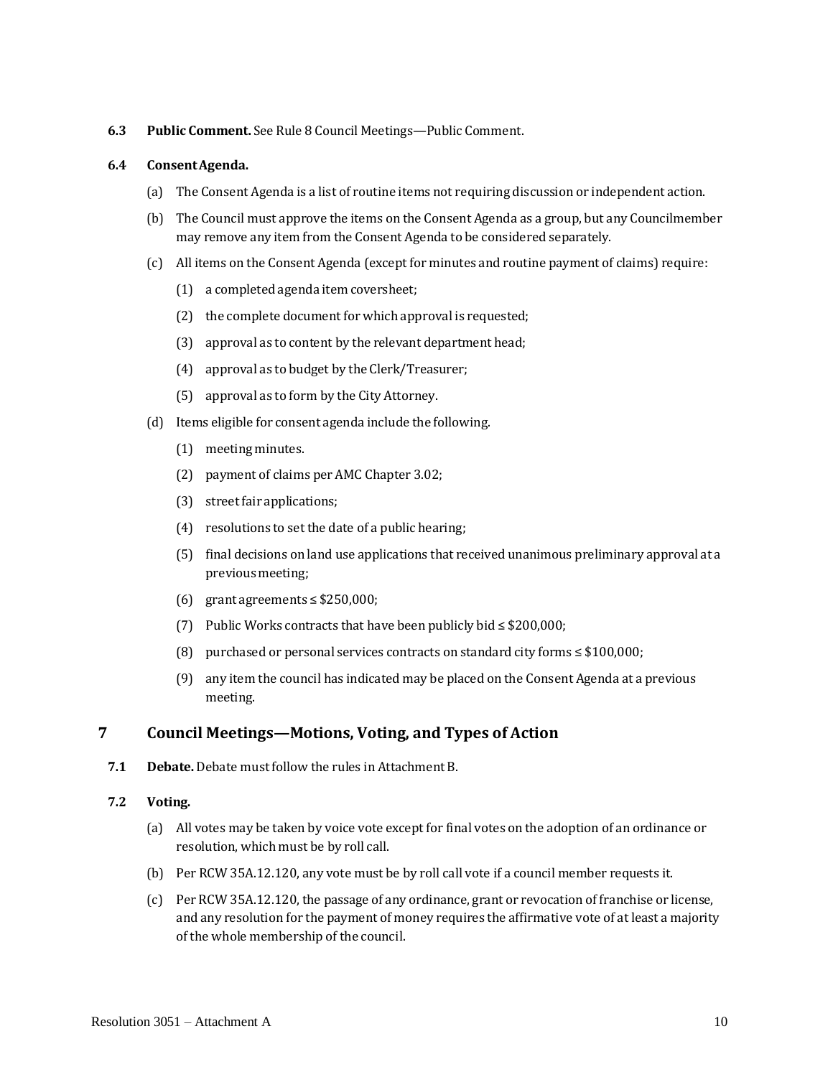#### <span id="page-7-1"></span>**6.3 Public Comment.** See Rule [8](#page-8-0) Council Meetings—Public [Comment.](#page-8-0)

#### <span id="page-7-2"></span>**6.4 ConsentAgenda.**

- (a) The Consent Agenda is a list of routine items not requiring discussion or independent action.
- (b) The Council must approve the items on the Consent Agenda as a group, but any Councilmember may remove any item from the Consent Agenda to be considered separately.
- (c) All items on the Consent Agenda (exceptfor minutes and routine payment of claims) require:
	- (1) a completed agenda item coversheet;
	- (2) the complete document for which approval is requested;
	- (3) approval as to content by the relevant department head;
	- (4) approval as to budget by the Clerk/Treasurer;
	- (5) approval as to form by the City Attorney.
- (d) Items eligible for consent agenda include the following.
	- (1) meeting minutes.
	- (2) payment of claims per AMC Chapter 3.02;
	- (3) street fair applications;
	- (4) resolutions to set the date of a public hearing;
	- (5) final decisions on land use applications that received unanimous preliminary approval at a previous meeting;
	- (6) grant agreements  $\leq$  \$250,000;
	- (7) Public Works contracts that have been publicly bid ≤ \$200,000;
	- (8) purchased or personal services contracts on standard city forms ≤ \$100,000;
	- (9) any item the council has indicated may be placed on the Consent Agenda at a previous meeting.

# <span id="page-7-0"></span>**7 Council Meetings—Motions, Voting, and Types of Action**

<span id="page-7-3"></span>**7.1 Debate.** Debate mustfollow the rules in Attachment B.

## **7.2 Voting.**

- (a) All votes may be taken by voice vote except for final votes on the adoption of an ordinance or resolution, which must be by roll call.
- (b) Per RCW 35A.12.120, any vote must be by roll call vote if a council member requests it.
- (c) Per RCW 35A.12.120, the passage of any ordinance, grant or revocation of franchise or license, and any resolution for the payment of money requires the affirmative vote of at least a majority of the whole membership of the council.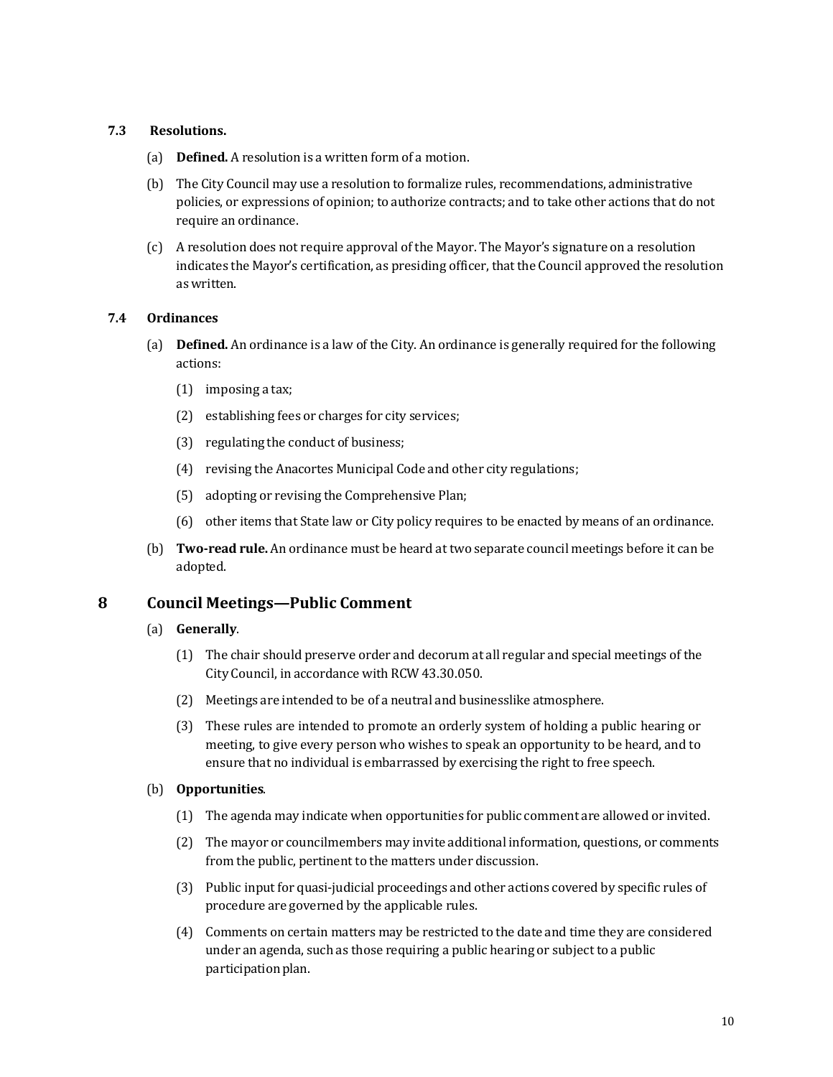## <span id="page-8-1"></span>**7.3 Resolutions.**

- (a) **Defined.** A resolution is a written form of a motion.
- (b) The City Council may use a resolution to formalize rules, recommendations, administrative policies, or expressions of opinion; to authorize contracts; and to take other actions that do not require an ordinance.
- (c) A resolution does not require approval of the Mayor. The Mayor's signature on a resolution indicates the Mayor's certification, as presiding officer, thatthe Council approved the resolution aswritten.

#### <span id="page-8-2"></span>**7.4 Ordinances**

- (a) **Defined.** An ordinance is a law of the City. An ordinance is generally required for the following actions:
	- (1) imposing a tax;
	- (2) establishing fees or charges for city services;
	- (3) regulating the conduct of business;
	- (4) revising the Anacortes Municipal Code and other city regulations;
	- (5) adopting or revising the Comprehensive Plan;
	- (6) other items that State law or City policy requires to be enacted by means of an ordinance.
- (b) **Two-read rule.** An ordinance must be heard at two separate council meetings before it can be adopted.

# <span id="page-8-0"></span>**8 Council Meetings—Public Comment**

#### (a) **Generally**.

- (1) The chair should preserve order and decorum at all regular and special meetings of the City Council, in accordance with RCW 43.30.050.
- (2) Meetings are intended to be of a neutral and businesslike atmosphere.
- (3) These rules are intended to promote an orderly system of holding a public hearing or meeting, to give every person who wishes to speak an opportunity to be heard, and to ensure that no individual is embarrassed by exercising the right to free speech.

#### (b) **Opportunities**.

- (1) The agenda may indicate when opportunities for public comment are allowed or invited.
- (2) The mayor or councilmembers may invite additional information, questions, or comments from the public, pertinent to the matters under discussion.
- (3) Public input for quasi-judicial proceedings and other actions covered by specific rules of procedure are governed by the applicable rules.
- (4) Comments on certain matters may be restricted to the date and time they are considered under an agenda, such as those requiring a public hearing or subject to a public participation plan.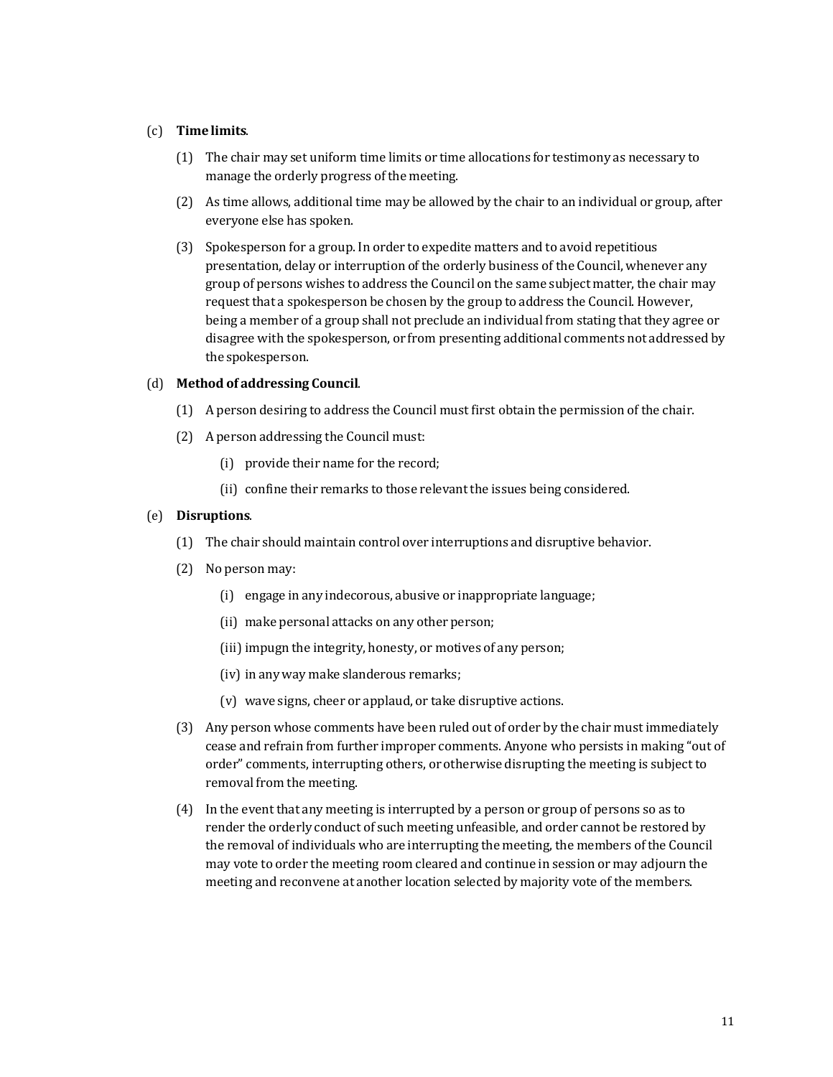#### (c) **Time limits**.

- (1) The chair may set uniform time limits or time allocations for testimony as necessary to manage the orderly progress of the meeting.
- (2) As time allows, additional time may be allowed by the chair to an individual or group, after everyone else has spoken.
- (3) Spokesperson for a group. In order to expedite matters and to avoid repetitious presentation, delay or interruption of the orderly business of the Council, whenever any group of persons wishes to address the Council on the same subject matter, the chair may request that a spokesperson be chosen by the group to address the Council. However, being a member of a group shall not preclude an individual from stating that they agree or disagree with the spokesperson, or from presenting additional comments not addressed by the spokesperson.

#### (d) **Method of addressing Council**.

- (1) A person desiring to address the Council must first obtain the permission of the chair.
- (2) A person addressing the Council must:
	- (i) provide their name for the record;
	- (ii) confine their remarks to those relevant the issues being considered.

### (e) **Disruptions**.

- (1) The chair should maintain control over interruptions and disruptive behavior.
- (2) No person may:
	- (i) engage in any indecorous, abusive or inappropriate language;
	- (ii) make personal attacks on any other person;
	- (iii) impugn the integrity, honesty, or motives of any person;
	- (iv) in any way make slanderous remarks;
	- (v) wave signs, cheer or applaud, or take disruptive actions.
- (3) Any person whose comments have been ruled out of order by the chair must immediately cease and refrain from further improper comments. Anyone who persists in making "out of order" comments, interrupting others, or otherwise disrupting the meeting is subjectto removal from the meeting.
- (4) In the event that any meeting is interrupted by a person or group of persons so as to render the orderly conduct of such meeting unfeasible, and order cannot be restored by the removal of individuals who are interrupting the meeting, the members of the Council may vote to order the meeting room cleared and continue in session or may adjourn the meeting and reconvene at another location selected by majority vote of the members.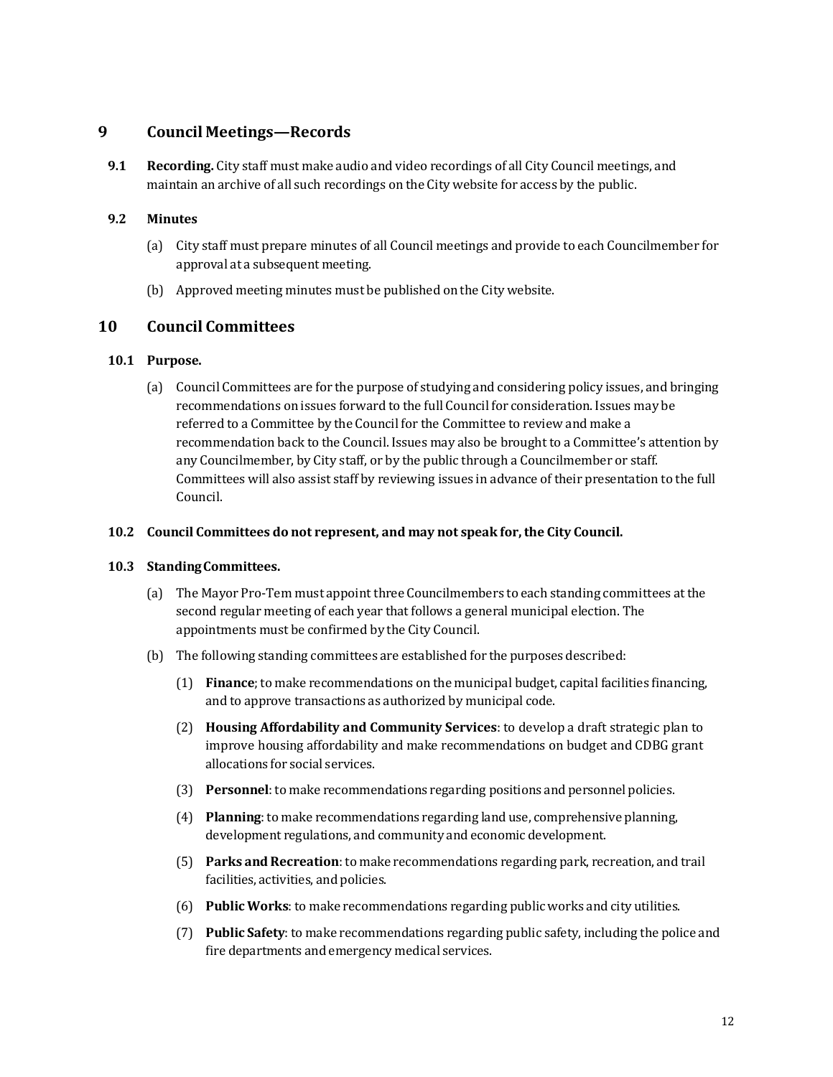# <span id="page-10-0"></span>**9 Council Meetings—Records**

<span id="page-10-2"></span>**9.1 Recording.** City staff must make audio and video recordings of all City Council meetings, and maintain an archive of all such recordings on the City website for access by the public.

## <span id="page-10-3"></span>**9.2 Minutes**

- (a) City staff must prepare minutes of all Council meetings and provide to each Councilmember for approval at a subsequent meeting.
- (b) Approved meeting minutes must be published on the City website.

# <span id="page-10-1"></span>**10 Council Committees**

## <span id="page-10-4"></span>**10.1 Purpose.**

(a) Council Committees are for the purpose of studying and considering policy issues, and bringing recommendations on issues forward to the full Council for consideration. Issues may be referred to a Committee by the Council for the Committee to review and make a recommendation back to the Council. Issues may also be brought to a Committee's attention by any Councilmember, by City staff, or by the public through a Councilmember or staff. Committees will also assist staff by reviewing issues in advance of their presentation to the full Council.

## **10.2 Council Committees do not represent, and may not speak for,the City Council.**

## <span id="page-10-5"></span>**10.3 StandingCommittees.**

- (a) The Mayor Pro-Tem must appoint three Councilmembers to each standing committees atthe second regular meeting of each year that follows a general municipal election. The appointments must be confirmed by the City Council.
- (b) The following standing committees are established for the purposes described:
	- (1) **Finance**;to make recommendations on the municipal budget, capital facilities financing, and to approve transactions as authorized by municipal code.
	- (2) **Housing Affordability and Community Services**: to develop a draft strategic plan to improve housing affordability and make recommendations on budget and CDBG grant allocations for social services.
	- (3) **Personnel**:to make recommendations regarding positions and personnel policies.
	- (4) **Planning**:to make recommendations regarding land use, comprehensive planning, development regulations, and community and economic development.
	- (5) **Parks and Recreation**:to make recommendations regarding park, recreation, and trail facilities, activities, and policies.
	- (6) **Public Works**: to make recommendations regarding public works and city utilities.
	- (7) **Public Safety**: to make recommendations regarding public safety, including the police and fire departments and emergency medical services.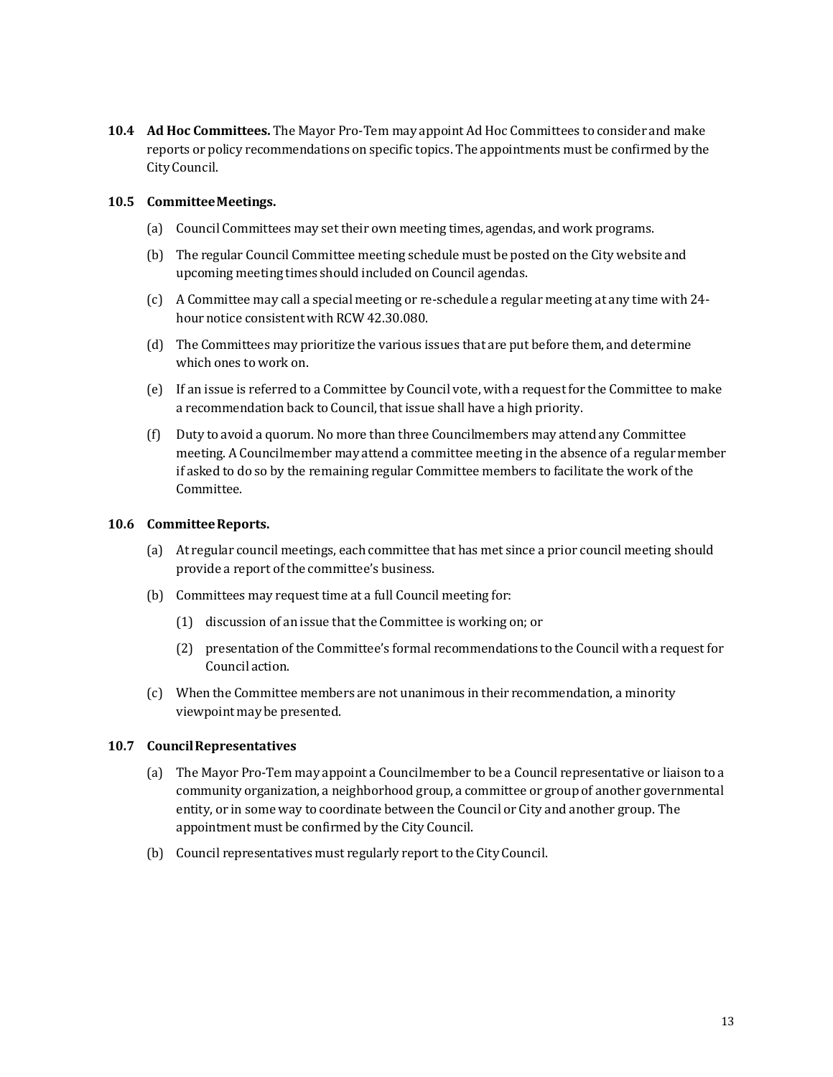<span id="page-11-1"></span>**10.4 Ad Hoc Committees.** The Mayor Pro-Tem may appoint Ad Hoc Committees to consider and make reports or policy recommendations on specific topics. The appointments must be confirmed by the City Council.

#### <span id="page-11-2"></span>**10.5 CommitteeMeetings.**

- (a) Council Committees may set their own meeting times, agendas, and work programs.
- (b) The regular Council Committee meeting schedule must be posted on the City website and upcoming meeting times should included on Council agendas.
- (c) A Committee may call a special meeting or re-schedule a regular meeting at any time with 24 hour notice consistent with RCW 42.30.080.
- (d) The Committees may prioritize the various issues that are put before them, and determine which ones to work on.
- (e) If an issue is referred to a Committee by Council vote, with a requestfor the Committee to make a recommendation back to Council, that issue shall have a high priority.
- (f) Duty to avoid a quorum. No more than three Councilmembers may attend any Committee meeting. A Councilmember may attend a committee meeting in the absence of a regular member if asked to do so by the remaining regular Committee members to facilitate the work of the Committee.

#### <span id="page-11-3"></span>**10.6 CommitteeReports.**

- (a) At regular council meetings, each committee that has met since a prior council meeting should provide a report of the committee's business.
- (b) Committees may request time at a full Council meeting for:
	- (1) discussion of an issue that the Committee is working on; or
	- (2) presentation of the Committee's formal recommendations to the Council with a request for Council action.
- (c) When the Committee members are not unanimous in their recommendation, a minority viewpoint may be presented.

## <span id="page-11-0"></span>**10.7 CouncilRepresentatives**

- (a) The Mayor Pro-Tem may appoint a Councilmember to be a Council representative or liaison to a community organization, a neighborhood group, a committee or group of another governmental entity, or in some way to coordinate between the Council or City and another group. The appointment must be confirmed by the City Council.
- (b) Council representatives must regularly report to the City Council.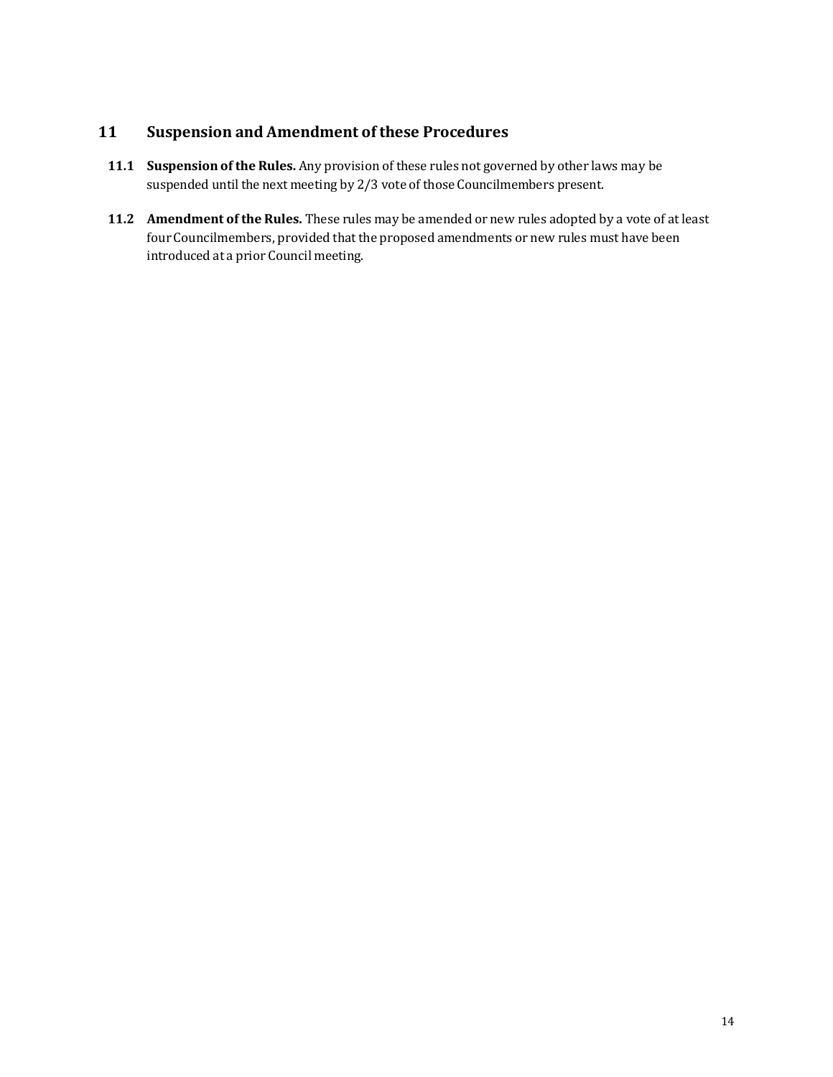# <span id="page-12-0"></span>**11 Suspension and Amendment of these Procedures**

- <span id="page-12-1"></span>**11.1 Suspension of the Rules.** Any provision of these rules not governed by other laws may be suspended until the next meeting by 2/3 vote of those Councilmembers present.
- <span id="page-12-2"></span>**11.2 Amendment of the Rules.** These rules may be amended or new rules adopted by a vote of at least four Councilmembers, provided that the proposed amendments or new rules must have been introduced at a prior Council meeting.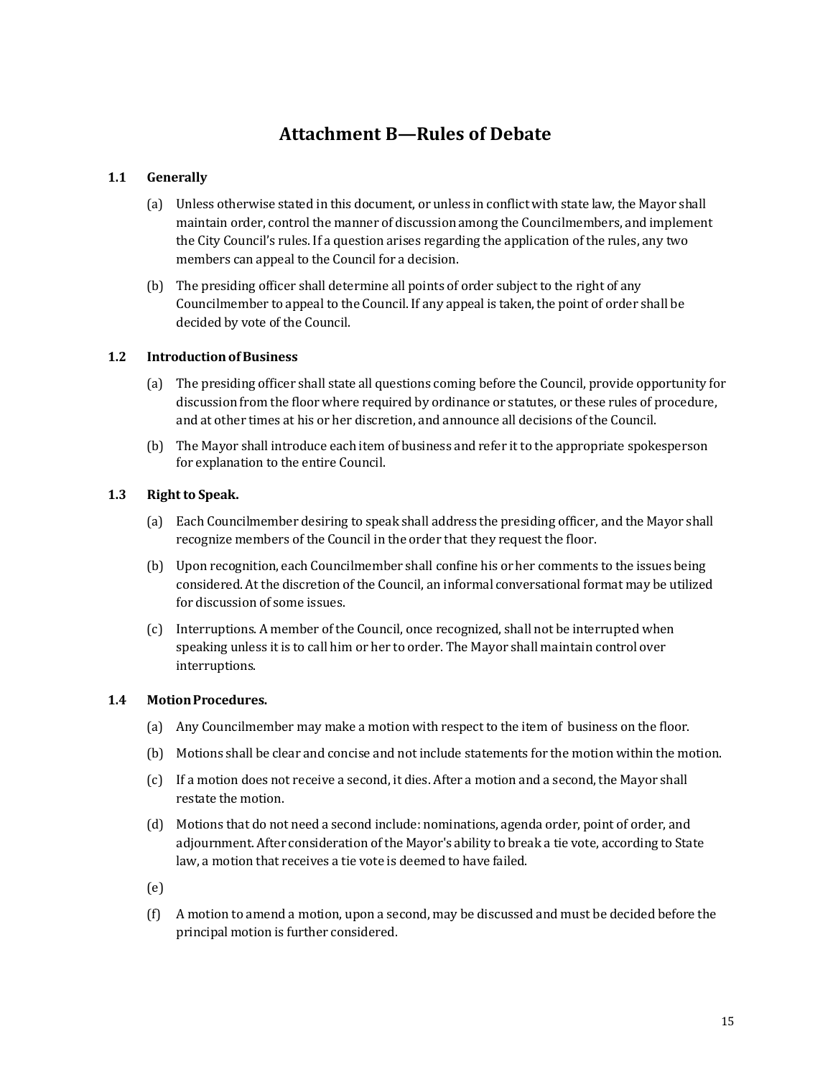# **Attachment B—Rules of Debate**

### **1.1 Generally**

- (a) Unless otherwise stated in this document, or unless in conflict with state law, the Mayor shall maintain order, control the manner of discussion among the Councilmembers, and implement the City Council's rules. If a question arises regarding the application of the rules, any two members can appeal to the Council for a decision.
- (b) The presiding officer shall determine all points of order subject to the right of any Councilmember to appeal to the Council. If any appeal is taken, the point of order shall be decided by vote of the Council.

#### **1.2 IntroductionofBusiness**

- (a) The presiding officer shall state all questions coming before the Council, provide opportunity for discussion from the floor where required by ordinance or statutes, or these rules of procedure, and at other times at his or her discretion, and announce all decisions of the Council.
- (b) The Mayor shall introduce each item of business and refer it to the appropriate spokesperson for explanation to the entire Council.

### 1.3 **Right to Speak.**

- (a) Each Councilmember desiring to speak shall address the presiding officer, and the Mayor shall recognize members of the Council in the order that they request the floor.
- (b) Upon recognition, each Councilmember shall confine his or her comments to the issues being considered. At the discretion of the Council, an informal conversational format may be utilized for discussion of some issues.
- (c) Interruptions. A member of the Council, once recognized, shall not be interrupted when speaking unless itis to call him or her to order. The Mayor shall maintain control over interruptions.

#### **1.4 MotionProcedures.**

- (a) Any Councilmember may make a motion with respect to the item of business on the floor.
- (b) Motions shall be clear and concise and not include statements for the motion within the motion.
- (c) If a motion does not receive a second, it dies. After a motion and a second, the Mayor shall restate the motion.
- (d) Motions that do not need a second include: nominations, agenda order, point of order, and adjournment. After consideration of the Mayor's ability to break a tie vote, according to State law, a motion that receives a tie vote is deemed to have failed.
- (e)
- (f) A motion to amend a motion, upon a second, may be discussed and must be decided before the principal motion is further considered.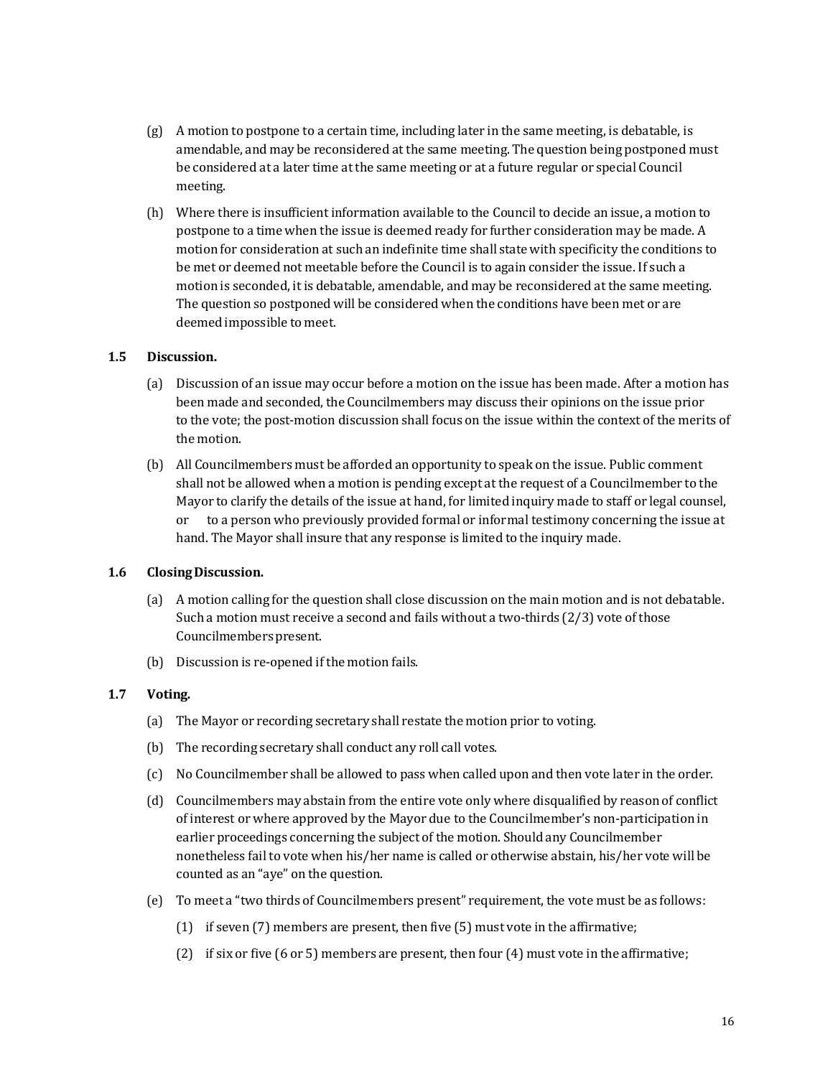- (g) A motion to postpone to a certain time, including later in the same meeting, is debatable, is amendable, and may be reconsidered at the same meeting. The question being postponed must be considered at a later time atthe same meeting or at a future regular or special Council meeting.
- (h) Where there is insufficient information available to the Council to decide an issue, a motion to postpone to a time when the issue is deemed ready for further consideration may be made. A motion for consideration at such an indefinite time shall state with specificity the conditions to be met or deemed not meetable before the Council is to again consider the issue. If such a motion is seconded, it is debatable, amendable, and may be reconsidered at the same meeting. The question so postponed will be considered when the conditions have been met or are deemed impossible to meet.

#### **1.5 Discussion.**

- (a) Discussion of an issue may occur before a motion on the issue has been made. After a motion has been made and seconded, the Councilmembers may discuss their opinions on the issue prior to the vote; the post-motion discussion shall focus on the issue within the context of the merits of the motion.
- (b) All Councilmembers must be afforded an opportunity to speak on the issue. Public comment shall not be allowed when a motion is pending except at the request of a Councilmember to the Mayor to clarify the details of the issue at hand, for limited inquiry made to staff or legal counsel, to a person who previously provided formal or informal testimony concerning the issue at hand. The Mayor shall insure that any response is limited to the inquiry made.

## **1.6 ClosingDiscussion.**

- (a) A motion calling for the question shall close discussion on the main motion and is not debatable. Such a motion must receive a second and fails without a two-thirds (2/3) vote of those Councilmembers present.
- (b) Discussion is re-opened if the motion fails.

#### **1.7 Voting.**

- (a) The Mayor or recording secretary shall restate the motion prior to voting.
- (b) The recording secretary shall conduct any roll call votes.
- (c) No Councilmember shall be allowed to pass when called upon and then vote later in the order.
- (d) Councilmembers may abstain from the entire vote only where disqualified by reason of conflict of interest or where approved by the Mayor due to the Councilmember's non-participation in earlier proceedings concerning the subject of the motion. Should any Councilmember nonetheless fail to vote when his/her name is called or otherwise abstain, his/her vote will be counted as an "aye" on the question.
- (e) To meet a "two thirds of Councilmembers present" requirement, the vote must be as follows:
	- (1) if seven (7) members are present, then five (5) must vote in the affirmative;
	- (2) if six or five (6 or 5) members are present, then four (4) must vote in the affirmative;